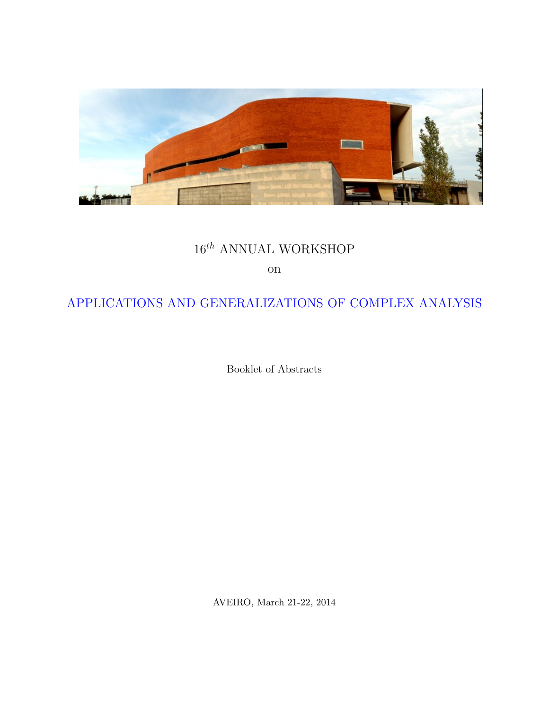

# $16^{th}$  ANNUAL WORKSHOP

on

## APPLICATIONS AND GENERALIZATIONS OF COMPLEX ANALYSIS

Booklet of Abstracts

AVEIRO, March 21-22, 2014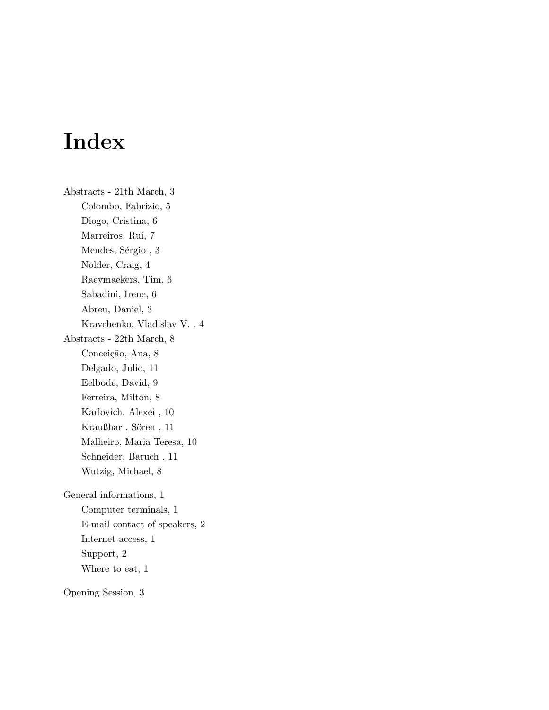# Index

Abstracts - 21th March, 3 Colombo, Fabrizio, 5 Diogo, Cristina, 6 Marreiros, Rui, 7 Mendes, Sérgio, 3 Nolder, Craig, 4 Raeymaekers, Tim, 6 Sabadini, Irene, 6 Abreu, Daniel, 3 Kravchenko, Vladislav V. , 4 Abstracts - 22th March, 8 Conceição, Ana, 8 Delgado, Julio, 11 Eelbode, David, 9 Ferreira, Milton, 8 Karlovich, Alexei , 10 Kraußhar, Sören, 11 Malheiro, Maria Teresa, 10 Schneider, Baruch , 11 Wutzig, Michael, 8 General informations, 1 Computer terminals, 1 E-mail contact of speakers, 2 Internet access, 1 Support, 2 Where to eat, 1 Opening Session, 3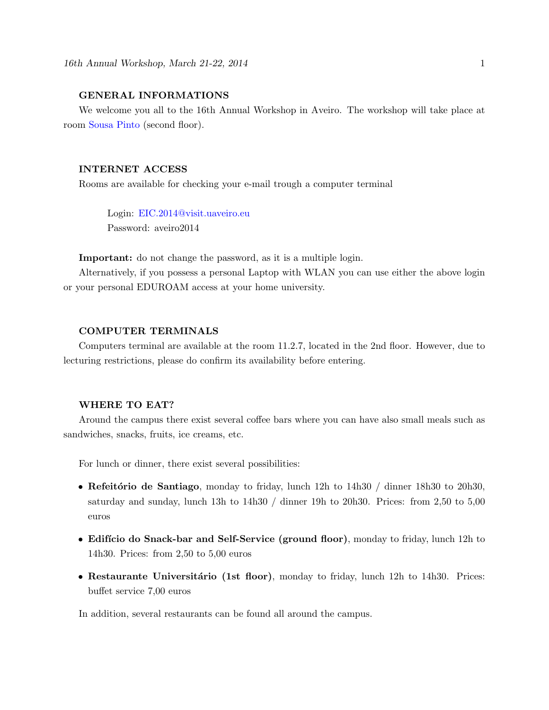#### GENERAL INFORMATIONS

We welcome you all to the 16th Annual Workshop in Aveiro. The workshop will take place at room Sousa Pinto (second floor).

#### INTERNET ACCESS

Rooms are available for checking your e-mail trough a computer terminal

Login: EIC.2014@visit.uaveiro.eu Password: aveiro2014

Important: do not change the password, as it is a multiple login.

Alternatively, if you possess a personal Laptop with WLAN you can use either the above login or your personal EDUROAM access at your home university.

#### COMPUTER TERMINALS

Computers terminal are available at the room 11.2.7, located in the 2nd floor. However, due to lecturing restrictions, please do confirm its availability before entering.

#### WHERE TO EAT?

Around the campus there exist several coffee bars where you can have also small meals such as sandwiches, snacks, fruits, ice creams, etc.

For lunch or dinner, there exist several possibilities:

- Refeitório de Santiago, monday to friday, lunch  $12h$  to  $14h30 /$  dinner  $18h30$  to  $20h30$ , saturday and sunday, lunch 13h to 14h30 / dinner 19h to 20h30. Prices: from 2,50 to 5,00 euros
- Edifício do Snack-bar and Self-Service (ground floor), monday to friday, lunch 12h to 14h30. Prices: from 2,50 to 5,00 euros
- Restaurante Universitário (1st floor), monday to friday, lunch 12h to 14h30. Prices: buffet service 7,00 euros

In addition, several restaurants can be found all around the campus.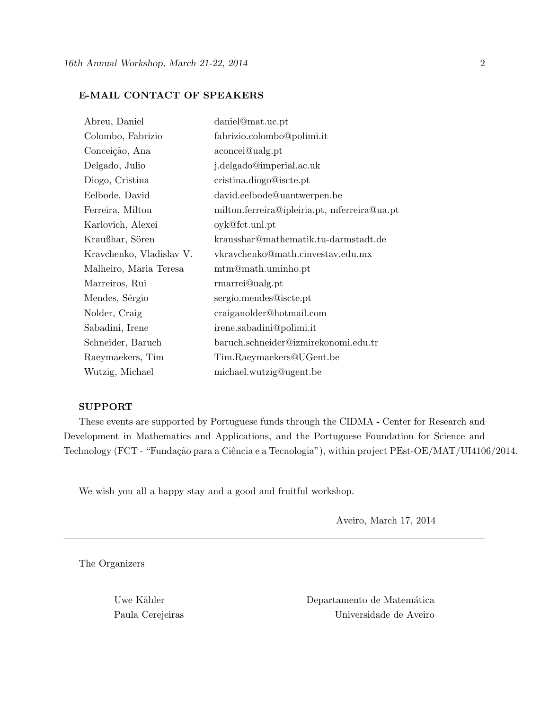#### E-MAIL CONTACT OF SPEAKERS

| Abreu, Daniel            | daniel@mat.uc.pt                             |
|--------------------------|----------------------------------------------|
| Colombo, Fabrizio        | fabrizio.colombo@polimi.it                   |
| Conceição, Ana           | aconcei@ualg.pt                              |
| Delgado, Julio           | j.delgado@imperial.ac.uk                     |
| Diogo, Cristina          | cristina.diogo@iscte.pt                      |
| Eelbode, David           | david.eelbode@uantwerpen.be                  |
| Ferreira, Milton         | milton.ferreira@ipleiria.pt, mferreira@ua.pt |
| Karlovich, Alexei        | oyk@fct.unl.pt                               |
| Kraußhar, Sören          | krausshar@mathematik.tu-darmstadt.de         |
| Kravchenko, Vladislav V. | vkravchenko@math.cinvestav.edu.mx            |
| Malheiro, Maria Teresa   | mtm@math.uminho.pt                           |
| Marreiros, Rui           | rmarrei@ualg.pt                              |
| Mendes, Sérgio           | sergio.mendes@iscte.pt                       |
| Nolder, Craig            | craiganolder@hotmail.com                     |
| Sabadini, Irene          | irene.sabadini@polimi.it                     |
| Schneider, Baruch        | baruch.schneider@izmirekonomi.edu.tr         |
| Raeymaekers, Tim         | Tim.Raeymaekers@UGent.be                     |
| Wutzig, Michael          | michael.wutzig@ugent.be                      |

#### SUPPORT

These events are supported by Portuguese funds through the CIDMA - Center for Research and Development in Mathematics and Applications, and the Portuguese Foundation for Science and Technology (FCT - "Fundação para a Ciência e a Tecnologia"), within project PEst-OE/MAT/UI4106/2014.

We wish you all a happy stay and a good and fruitful workshop.

Aveiro, March 17, 2014

The Organizers

Uwe Kähler Departamento de Matemática Paula Cerejeiras Universidade de Aveiro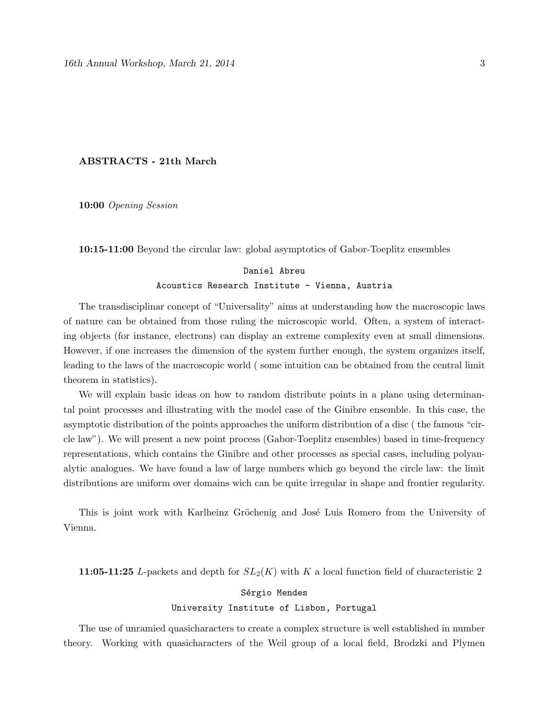#### ABSTRACTS - 21th March

10:00 Opening Session

10:15-11:00 Beyond the circular law: global asymptotics of Gabor-Toeplitz ensembles

### Daniel Abreu Acoustics Research Institute - Vienna, Austria

The transdisciplinar concept of "Universality" aims at understanding how the macroscopic laws of nature can be obtained from those ruling the microscopic world. Often, a system of interacting objects (for instance, electrons) can display an extreme complexity even at small dimensions. However, if one increases the dimension of the system further enough, the system organizes itself, leading to the laws of the macroscopic world ( some intuition can be obtained from the central limit theorem in statistics).

We will explain basic ideas on how to random distribute points in a plane using determinantal point processes and illustrating with the model case of the Ginibre ensemble. In this case, the asymptotic distribution of the points approaches the uniform distribution of a disc ( the famous "circle law"). We will present a new point process (Gabor-Toeplitz ensembles) based in time-frequency representations, which contains the Ginibre and other processes as special cases, including polyanalytic analogues. We have found a law of large numbers which go beyond the circle law: the limit distributions are uniform over domains wich can be quite irregular in shape and frontier regularity.

This is joint work with Karlheinz Gröchenig and José Luis Romero from the University of Vienna.

11:05-11:25 L-packets and depth for  $SL_2(K)$  with K a local function field of characteristic 2

#### Sérgio Mendes University Institute of Lisbon, Portugal

The use of unramied quasicharacters to create a complex structure is well established in number theory. Working with quasicharacters of the Weil group of a local field, Brodzki and Plymen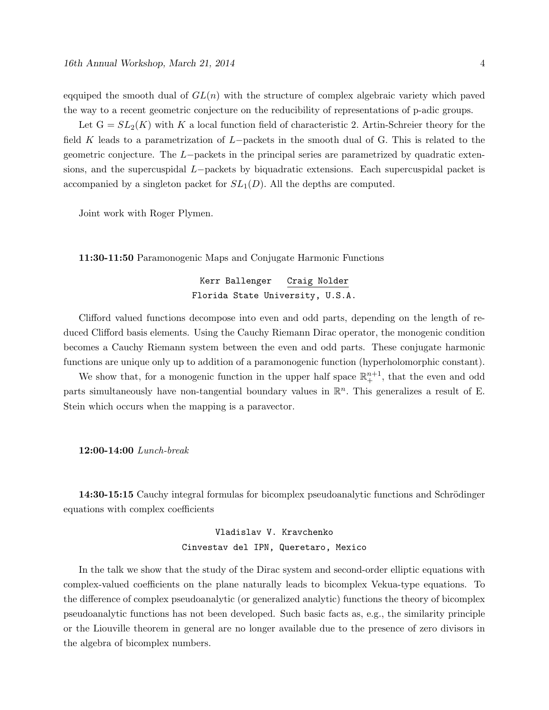eqquiped the smooth dual of  $GL(n)$  with the structure of complex algebraic variety which paved the way to a recent geometric conjecture on the reducibility of representations of p-adic groups.

Let  $G = SL_2(K)$  with K a local function field of characteristic 2. Artin-Schreier theory for the field K leads to a parametrization of L−packets in the smooth dual of G. This is related to the geometric conjecture. The L−packets in the principal series are parametrized by quadratic extensions, and the supercuspidal L−packets by biquadratic extensions. Each supercuspidal packet is accompanied by a singleton packet for  $SL<sub>1</sub>(D)$ . All the depths are computed.

Joint work with Roger Plymen.

11:30-11:50 Paramonogenic Maps and Conjugate Harmonic Functions

#### Kerr Ballenger Craig Nolder Florida State University, U.S.A.

Clifford valued functions decompose into even and odd parts, depending on the length of reduced Clifford basis elements. Using the Cauchy Riemann Dirac operator, the monogenic condition becomes a Cauchy Riemann system between the even and odd parts. These conjugate harmonic functions are unique only up to addition of a paramonogenic function (hyperholomorphic constant).

We show that, for a monogenic function in the upper half space  $\mathbb{R}^{n+1}_+$ , that the even and odd parts simultaneously have non-tangential boundary values in  $\mathbb{R}^n$ . This generalizes a result of E. Stein which occurs when the mapping is a paravector.

#### 12:00-14:00 Lunch-break

14:30-15:15 Cauchy integral formulas for bicomplex pseudoanalytic functions and Schrödinger equations with complex coefficients

## Vladislav V. Kravchenko Cinvestav del IPN, Queretaro, Mexico

In the talk we show that the study of the Dirac system and second-order elliptic equations with complex-valued coefficients on the plane naturally leads to bicomplex Vekua-type equations. To the difference of complex pseudoanalytic (or generalized analytic) functions the theory of bicomplex pseudoanalytic functions has not been developed. Such basic facts as, e.g., the similarity principle or the Liouville theorem in general are no longer available due to the presence of zero divisors in the algebra of bicomplex numbers.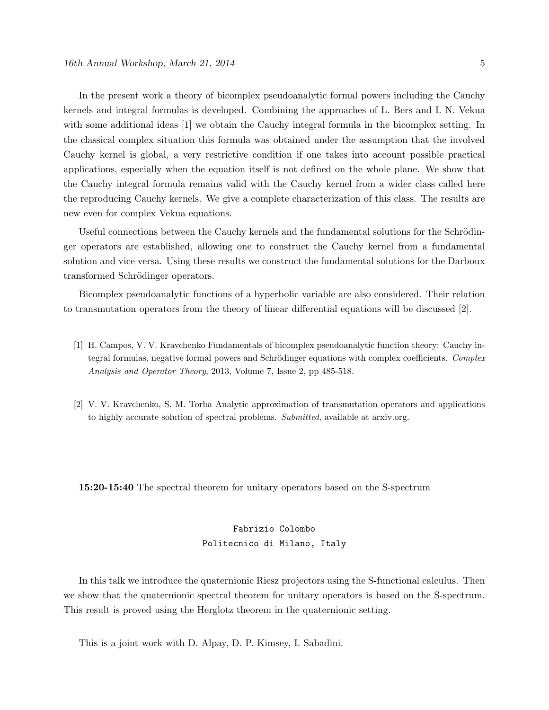In the present work a theory of bicomplex pseudoanalytic formal powers including the Cauchy kernels and integral formulas is developed. Combining the approaches of L. Bers and I. N. Vekua with some additional ideas [1] we obtain the Cauchy integral formula in the bicomplex setting. In the classical complex situation this formula was obtained under the assumption that the involved Cauchy kernel is global, a very restrictive condition if one takes into account possible practical applications, especially when the equation itself is not defined on the whole plane. We show that the Cauchy integral formula remains valid with the Cauchy kernel from a wider class called here the reproducing Cauchy kernels. We give a complete characterization of this class. The results are new even for complex Vekua equations.

Useful connections between the Cauchy kernels and the fundamental solutions for the Schrödinger operators are established, allowing one to construct the Cauchy kernel from a fundamental solution and vice versa. Using these results we construct the fundamental solutions for the Darboux transformed Schrödinger operators.

Bicomplex pseudoanalytic functions of a hyperbolic variable are also considered. Their relation to transmutation operators from the theory of linear differential equations will be discussed [2].

- [1] H. Campos, V. V. Kravchenko Fundamentals of bicomplex pseudoanalytic function theory: Cauchy integral formulas, negative formal powers and Schrödinger equations with complex coefficients. Complex Analysis and Operator Theory, 2013, Volume 7, Issue 2, pp 485-518.
- [2] V. V. Kravchenko, S. M. Torba Analytic approximation of transmutation operators and applications to highly accurate solution of spectral problems. Submitted, available at arxiv.org.

15:20-15:40 The spectral theorem for unitary operators based on the S-spectrum

## Fabrizio Colombo Politecnico di Milano, Italy

In this talk we introduce the quaternionic Riesz projectors using the S-functional calculus. Then we show that the quaternionic spectral theorem for unitary operators is based on the S-spectrum. This result is proved using the Herglotz theorem in the quaternionic setting.

This is a joint work with D. Alpay, D. P. Kimsey, I. Sabadini.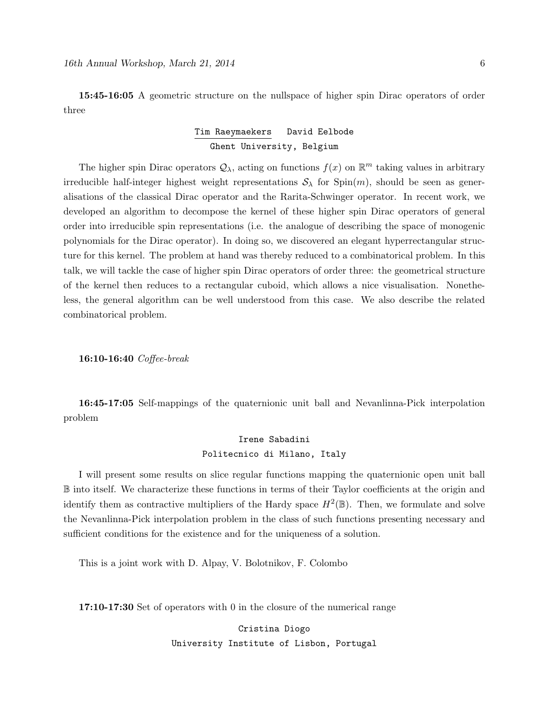15:45-16:05 A geometric structure on the nullspace of higher spin Dirac operators of order three

#### Tim Raeymaekers David Eelbode Ghent University, Belgium

The higher spin Dirac operators  $\mathcal{Q}_{\lambda}$ , acting on functions  $f(x)$  on  $\mathbb{R}^m$  taking values in arbitrary irreducible half-integer highest weight representations  $S_\lambda$  for Spin $(m)$ , should be seen as generalisations of the classical Dirac operator and the Rarita-Schwinger operator. In recent work, we developed an algorithm to decompose the kernel of these higher spin Dirac operators of general order into irreducible spin representations (i.e. the analogue of describing the space of monogenic polynomials for the Dirac operator). In doing so, we discovered an elegant hyperrectangular structure for this kernel. The problem at hand was thereby reduced to a combinatorical problem. In this talk, we will tackle the case of higher spin Dirac operators of order three: the geometrical structure of the kernel then reduces to a rectangular cuboid, which allows a nice visualisation. Nonetheless, the general algorithm can be well understood from this case. We also describe the related combinatorical problem.

16:10-16:40 Coffee-break

16:45-17:05 Self-mappings of the quaternionic unit ball and Nevanlinna-Pick interpolation problem

#### Irene Sabadini Politecnico di Milano, Italy

I will present some results on slice regular functions mapping the quaternionic open unit ball B into itself. We characterize these functions in terms of their Taylor coefficients at the origin and identify them as contractive multipliers of the Hardy space  $H^2(\mathbb{B})$ . Then, we formulate and solve the Nevanlinna-Pick interpolation problem in the class of such functions presenting necessary and sufficient conditions for the existence and for the uniqueness of a solution.

This is a joint work with D. Alpay, V. Bolotnikov, F. Colombo

17:10-17:30 Set of operators with 0 in the closure of the numerical range

Cristina Diogo University Institute of Lisbon, Portugal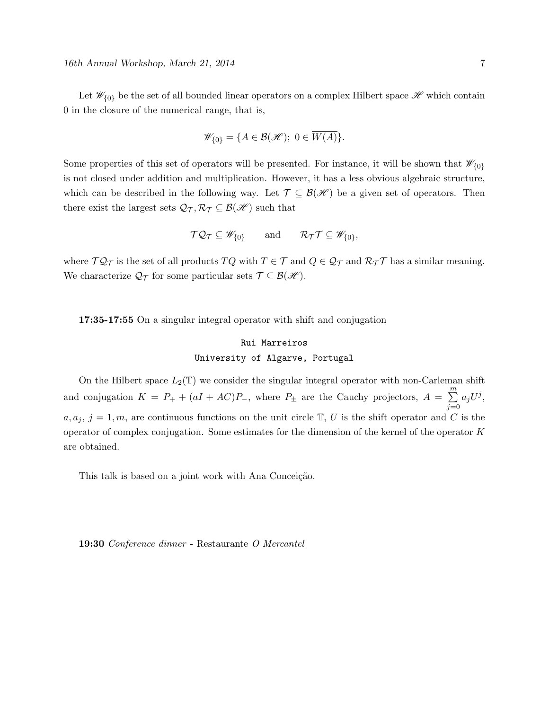Let  $\mathcal{W}_{\{0\}}$  be the set of all bounded linear operators on a complex Hilbert space  $\mathcal{H}$  which contain 0 in the closure of the numerical range, that is,

$$
\mathscr{W}_{\{0\}} = \{ A \in \mathcal{B}(\mathscr{H}); \ 0 \in \overline{W(A)} \}.
$$

Some properties of this set of operators will be presented. For instance, it will be shown that  $\mathscr{W}_{\{0\}}$ is not closed under addition and multiplication. However, it has a less obvious algebraic structure, which can be described in the following way. Let  $\mathcal{T} \subseteq \mathcal{B}(\mathcal{H})$  be a given set of operators. Then there exist the largest sets  $\mathcal{Q}_{\mathcal{T}}, \mathcal{R}_{\mathcal{T}} \subseteq \mathcal{B}(\mathcal{H})$  such that

$$
\mathcal{TQ}_{\mathcal{T}} \subseteq \mathscr{W}_{\{0\}} \quad \text{and} \quad \mathcal{R}_{\mathcal{T}}\mathcal{T} \subseteq \mathscr{W}_{\{0\}},
$$

where  $\mathcal{TQ}_{\mathcal{T}}$  is the set of all products  $TQ$  with  $T \in \mathcal{T}$  and  $Q \in \mathcal{Q}_{\mathcal{T}}$  and  $\mathcal{R}_{\mathcal{T}}\mathcal{T}$  has a similar meaning. We characterize  $\mathcal{Q}_{\mathcal{T}}$  for some particular sets  $\mathcal{T} \subseteq \mathcal{B}(\mathcal{H})$ .

17:35-17:55 On a singular integral operator with shift and conjugation

#### Rui Marreiros University of Algarve, Portugal

On the Hilbert space  $L_2(\mathbb{T})$  we consider the singular integral operator with non-Carleman shift and conjugation  $K = P_+ + (aI + AC)P_-,$  where  $P_{\pm}$  are the Cauchy projectors,  $A = \sum_{k=1}^{m} A_k$  $j=0$  $a_jU^j,$  $a, a_j, j = \overline{1,m}$ , are continuous functions on the unit circle  $\mathbb{T}, U$  is the shift operator and C is the operator of complex conjugation. Some estimates for the dimension of the kernel of the operator  $K$ are obtained.

This talk is based on a joint work with Ana Conceição.

19:30 Conference dinner - Restaurante O Mercantel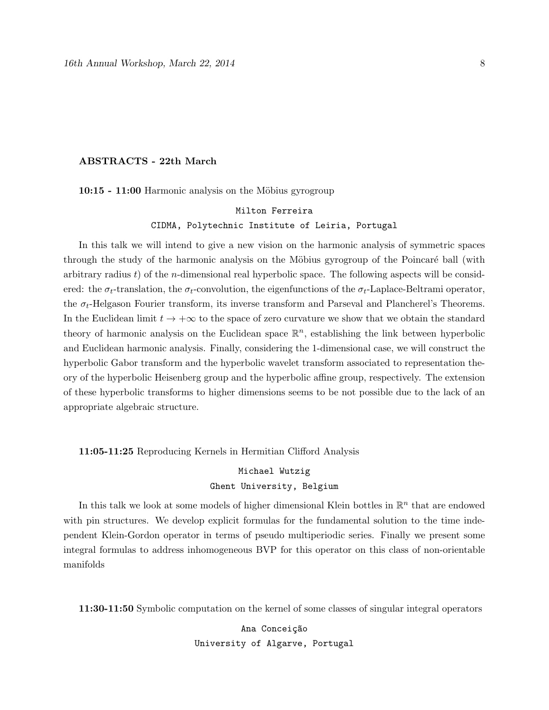#### ABSTRACTS - 22th March

10:15 - 11:00 Harmonic analysis on the Möbius gyrogroup

## Milton Ferreira CIDMA, Polytechnic Institute of Leiria, Portugal

In this talk we will intend to give a new vision on the harmonic analysis of symmetric spaces through the study of the harmonic analysis on the Möbius gyrogroup of the Poincaré ball (with arbitrary radius  $t$ ) of the *n*-dimensional real hyperbolic space. The following aspects will be considered: the  $\sigma_t$ -translation, the  $\sigma_t$ -convolution, the eigenfunctions of the  $\sigma_t$ -Laplace-Beltrami operator, the  $\sigma_t$ -Helgason Fourier transform, its inverse transform and Parseval and Plancherel's Theorems. In the Euclidean limit  $t \to +\infty$  to the space of zero curvature we show that we obtain the standard theory of harmonic analysis on the Euclidean space  $\mathbb{R}^n$ , establishing the link between hyperbolic and Euclidean harmonic analysis. Finally, considering the 1-dimensional case, we will construct the hyperbolic Gabor transform and the hyperbolic wavelet transform associated to representation theory of the hyperbolic Heisenberg group and the hyperbolic affine group, respectively. The extension of these hyperbolic transforms to higher dimensions seems to be not possible due to the lack of an appropriate algebraic structure.

11:05-11:25 Reproducing Kernels in Hermitian Clifford Analysis

## Michael Wutzig Ghent University, Belgium

In this talk we look at some models of higher dimensional Klein bottles in  $\mathbb{R}^n$  that are endowed with pin structures. We develop explicit formulas for the fundamental solution to the time independent Klein-Gordon operator in terms of pseudo multiperiodic series. Finally we present some integral formulas to address inhomogeneous BVP for this operator on this class of non-orientable manifolds

11:30-11:50 Symbolic computation on the kernel of some classes of singular integral operators

Ana Conceição University of Algarve, Portugal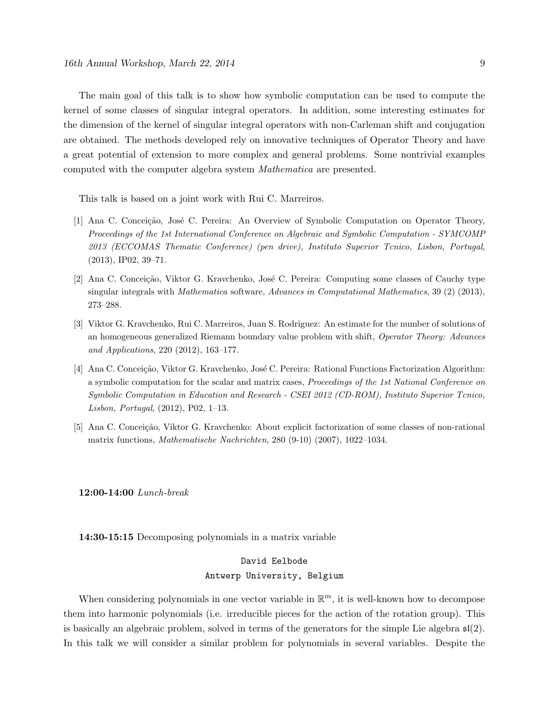The main goal of this talk is to show how symbolic computation can be used to compute the kernel of some classes of singular integral operators. In addition, some interesting estimates for the dimension of the kernel of singular integral operators with non-Carleman shift and conjugation are obtained. The methods developed rely on innovative techniques of Operator Theory and have a great potential of extension to more complex and general problems. Some nontrivial examples computed with the computer algebra system Mathematica are presented.

This talk is based on a joint work with Rui C. Marreiros.

- [1] Ana C. Conceição, José C. Pereira: An Overview of Symbolic Computation on Operator Theory, Proceedings of the 1st International Conference on Algebraic and Symbolic Computation - SYMCOMP 2013 (ECCOMAS Thematic Conference) (pen drive), Instituto Superior Tcnico, Lisbon, Portugal, (2013), IP02, 39–71.
- [2] Ana C. Conceição, Viktor G. Kravchenko, José C. Pereira: Computing some classes of Cauchy type singular integrals with Mathematica software, Advances in Computational Mathematics, 39 (2) (2013), 273–288.
- [3] Viktor G. Kravchenko, Rui C. Marreiros, Juan S. Rodriguez: An estimate for the number of solutions of an homogeneous generalized Riemann boundary value problem with shift, Operator Theory: Advances and Applications, 220 (2012), 163–177.
- [4] Ana C. Conceição, Viktor G. Kravchenko, José C. Pereira: Rational Functions Factorization Algorithm: a symbolic computation for the scalar and matrix cases, Proceedings of the 1st National Conference on Symbolic Computation in Education and Research - CSEI 2012 (CD-ROM), Instituto Superior Tcnico, Lisbon, Portugal, (2012), P02, 1–13.
- [5] Ana C. Conceição, Viktor G. Kravchenko: About explicit factorization of some classes of non-rational matrix functions, Mathematische Nachrichten, 280 (9-10) (2007), 1022–1034.

12:00-14:00 Lunch-break

14:30-15:15 Decomposing polynomials in a matrix variable

### David Eelbode Antwerp University, Belgium

When considering polynomials in one vector variable in  $\mathbb{R}^m$ , it is well-known how to decompose them into harmonic polynomials (i.e. irreducible pieces for the action of the rotation group). This is basically an algebraic problem, solved in terms of the generators for the simple Lie algebra  $\mathfrak{sl}(2)$ . In this talk we will consider a similar problem for polynomials in several variables. Despite the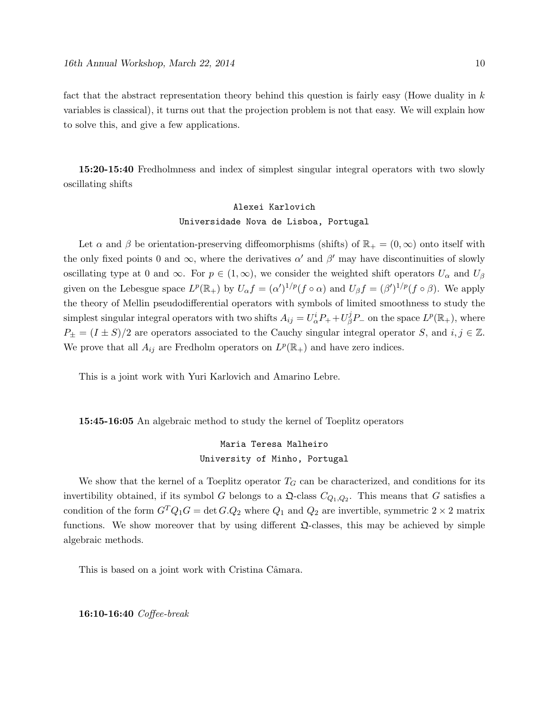fact that the abstract representation theory behind this question is fairly easy (Howe duality in  $k$ variables is classical), it turns out that the projection problem is not that easy. We will explain how to solve this, and give a few applications.

15:20-15:40 Fredholmness and index of simplest singular integral operators with two slowly oscillating shifts

### Alexei Karlovich Universidade Nova de Lisboa, Portugal

Let  $\alpha$  and  $\beta$  be orientation-preserving diffeomorphisms (shifts) of  $\mathbb{R}_+ = (0, \infty)$  onto itself with the only fixed points 0 and  $\infty$ , where the derivatives  $\alpha'$  and  $\beta'$  may have discontinuities of slowly oscillating type at 0 and  $\infty$ . For  $p \in (1,\infty)$ , we consider the weighted shift operators  $U_{\alpha}$  and  $U_{\beta}$ given on the Lebesgue space  $L^p(\mathbb{R}_+)$  by  $U_\alpha f = (\alpha')^{1/p}(f \circ \alpha)$  and  $U_\beta f = (\beta')^{1/p}(f \circ \beta)$ . We apply the theory of Mellin pseudodifferential operators with symbols of limited smoothness to study the simplest singular integral operators with two shifts  $A_{ij} = U^i_\alpha P_+ + U^j_\beta$  ${}_{\beta}^{j}P_{-}$  on the space  $L^{p}(\mathbb{R}_{+}),$  where  $P_{\pm} = (I \pm S)/2$  are operators associated to the Cauchy singular integral operator S, and  $i, j \in \mathbb{Z}$ . We prove that all  $A_{ij}$  are Fredholm operators on  $L^p(\mathbb{R}_+)$  and have zero indices.

This is a joint work with Yuri Karlovich and Amarino Lebre.

15:45-16:05 An algebraic method to study the kernel of Toeplitz operators

## Maria Teresa Malheiro University of Minho, Portugal

We show that the kernel of a Toeplitz operator  $T_G$  can be characterized, and conditions for its invertibility obtained, if its symbol G belongs to a  $\mathfrak{Q}$ -class  $C_{Q_1,Q_2}$ . This means that G satisfies a condition of the form  $G^TQ_1G = \det G.Q_2$  where  $Q_1$  and  $Q_2$  are invertible, symmetric  $2 \times 2$  matrix functions. We show moreover that by using different  $\Omega$ -classes, this may be achieved by simple algebraic methods.

This is based on a joint work with Cristina Câmara.

16:10-16:40 Coffee-break